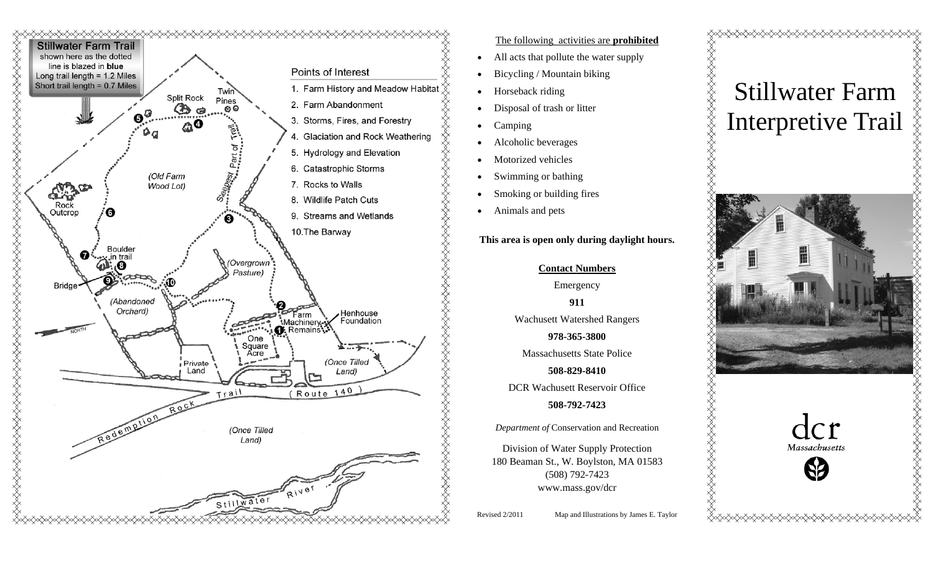

### The following activities are **prohibited**

- $\bullet$ All acts that pollute the water supply
- $\bullet$ Bicycling / Mountain biking
- $\bullet$ Horseback riding
- $\bullet$ Disposal of trash or litter
- $\bullet$ Camping
- $\bullet$ Alcoholic beverages
- $\bullet$ Motorized vehicles
- $\bullet$ Swimming or bathing
- $\bullet$ Smoking or building fires
- $\bullet$ Animals and pets

**This area is open only during daylight hours.**

### **Contact Numbers**

Emergency

**911** 

Wachusett Watershed Rangers **978-365-3800** 

Massachusetts State Police

**508-829-8410** 

DCR Wachusett Reservoir Office

## **508-792-7423**

*Department of* Conservation and Recreation

Division of Water Supply Protection 180 Beaman St., W. Boylston, MA 01583 (508) 792-7423 www.mass.gov/dcr

Revised 2/2011 Map and Illustrations by James E. Taylor

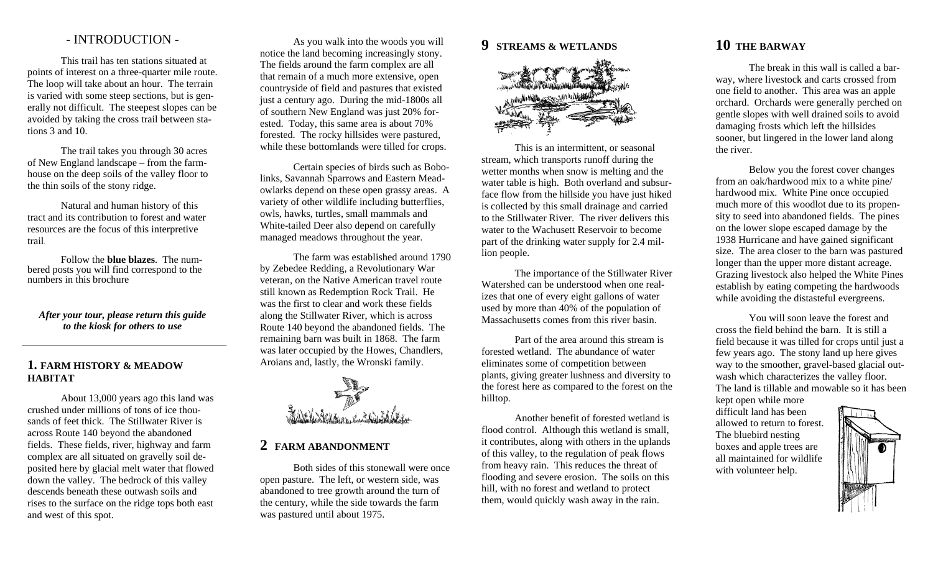# - INTRODUCTION -

 This trail has ten stations situated at points of interest on a three-quarter mile route. The loop will take about an hour. The terrain is varied with some steep sections, but is generally not difficult. The steepest slopes can be avoided by taking the cross trail between stations 3 and 10.

The trail takes you through 30 acres of New England landscape – from the farmhouse on the deep soils of the valley floor to the thin soils of the stony ridge.

Natural and human history of this tract and its contribution to forest and water resources are the focus of this interpretive trail.

Follow the **blue blazes**. The numbered posts you will find correspond to the numbers in this brochure

*After your tour, please return this guide to the kiosk for others to use*

## **1. FARM HISTORY & MEADOW HABITAT**

 About 13,000 years ago this land was crushed under millions of tons of ice thousands of feet thick. The Stillwater River is across Route 140 beyond the abandoned fields. These fields, river, highway and farm complex are all situated on gravelly soil deposited here by glacial melt water that flowed down the valley. The bedrock of this valley descends beneath these outwash soils and rises to the surface on the ridge tops both east and west of this spot.

 As you walk into the woods you will notice the land becoming increasingly stony. The fields around the farm complex are all that remain of a much more extensive, open countryside of field and pastures that existed just a century ago. During the mid-1800s all of southern New England was just 20% forested. Today, this same area is about 70% forested. The rocky hillsides were pastured, while these bottomlands were tilled for crops.

 Certain species of birds such as Bobolinks, Savannah Sparrows and Eastern Meadowlarks depend on these open grassy areas. A variety of other wildlife including butterflies, owls, hawks, turtles, small mammals and White-tailed Deer also depend on carefully managed meadows throughout the year.

 The farm was established around 1790 by Zebedee Redding, a Revolutionary War veteran, on the Native American travel route still known as Redemption Rock Trail. He was the first to clear and work these fields along the Stillwater River, which is across Route 140 beyond the abandoned fields. The remaining barn was built in 1868. The farm was later occupied by the Howes, Chandlers, Aroians and, lastly, the Wronski family.



## **2 FARM ABANDONMENT**

Both sides of this stonewall were once open pasture. The left, or western side, was abandoned to tree growth around the turn of the century, while the side towards the farm was pastured until about 1975.

## **9 STREAMS & WETLANDS**



 This is an intermittent, or seasonal stream, which transports runoff during the wetter months when snow is melting and the water table is high. Both overland and subsurface flow from the hillside you have just hiked is collected by this small drainage and carried to the Stillwater River. The river delivers this water to the Wachusett Reservoir to become part of the drinking water supply for 2.4 million people.

 The importance of the Stillwater River Watershed can be understood when one realizes that one of every eight gallons of water used by more than 40% of the population of Massachusetts comes from this river basin.

 Part of the area around this stream is forested wetland. The abundance of water eliminates some of competition between plants, giving greater lushness and diversity to the forest here as compared to the forest on the hilltop.

 Another benefit of forested wetland is flood control. Although this wetland is small, it contributes, along with others in the uplands of this valley, to the regulation of peak flows from heavy rain. This reduces the threat of flooding and severe erosion. The soils on this hill, with no forest and wetland to protect them, would quickly wash away in the rain.

# **10 THE BARWAY**

The break in this wall is called a barway, where livestock and carts crossed from one field to another. This area was an apple orchard. Orchards were generally perched on gentle slopes with well drained soils to avoid damaging frosts which left the hillsides sooner, but lingered in the lower land along the river.

 Below you the forest cover changes from an oak/hardwood mix to a white pine/ hardwood mix. White Pine once occupied much more of this woodlot due to its propensity to seed into abandoned fields. The pines on the lower slope escaped damage by the 1938 Hurricane and have gained significant size. The area closer to the barn was pastured longer than the upper more distant acreage. Grazing livestock also helped the White Pines establish by eating competing the hardwoods while avoiding the distasteful evergreens.

 You will soon leave the forest and cross the field behind the barn. It is still a field because it was tilled for crops until just a few years ago. The stony land up here gives way to the smoother, gravel-based glacial outwash which characterizes the valley floor. The land is tillable and mowable so it has been

kept open while more difficult land has been allowed to return to forest. The bluebird nesting boxes and apple trees are all maintained for wildlife with volunteer help.

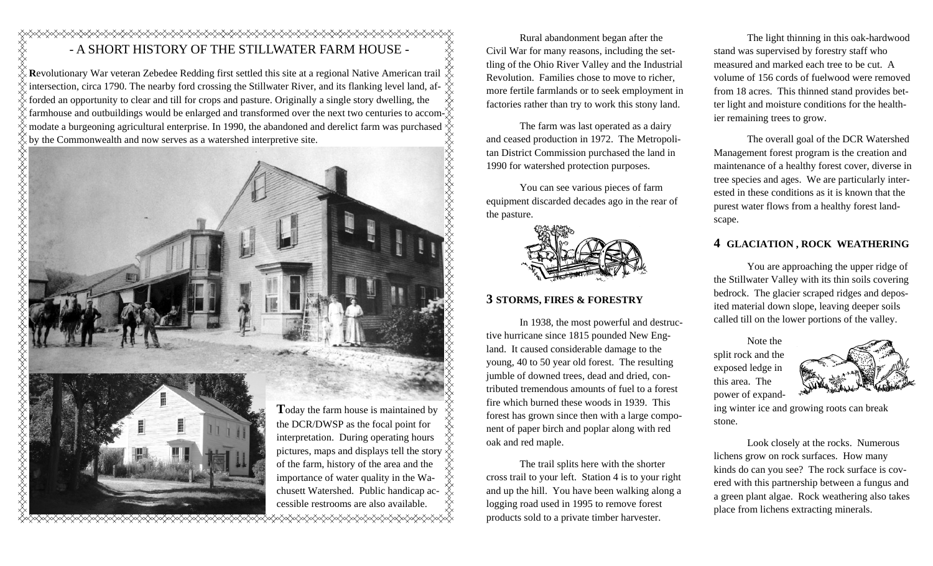# - A SHORT HISTORY OF THE STILLWATER FARM HOUSE -

**R**evolutionary War veteran Zebedee Redding first settled this site at a regional Native American trail ✬ intersection, circa 1790. The nearby ford crossing the Stillwater River, and its flanking level land, afforded an opportunity to clear and till for crops and pasture. Originally a single story dwelling, the farmhouse and outbuildings would be enlarged and transformed over the next two centuries to accom- $\chi$  by the Commonwealth and now serves as a watershed interpretive site.



 Rural abandonment began after the Civil War for many reasons, including the settling of the Ohio River Valley and the Industrial Revolution. Families chose to move to richer, more fertile farmlands or to seek employment in factories rather than try to work this stony land.

 The farm was last operated as a dairy and ceased production in 1972. The Metropolitan District Commission purchased the land in 1990 for watershed protection purposes.

 You can see various pieces of farm equipment discarded decades ago in the rear of the pasture.



# **3 STORMS, FIRES & FORESTRY**

 In 1938, the most powerful and destructive hurricane since 1815 pounded New England. It caused considerable damage to the young, 40 to 50 year old forest. The resulting jumble of downed trees, dead and dried, contributed tremendous amounts of fuel to a forest fire which burned these woods in 1939. This forest has grown since then with a large component of paper birch and poplar along with red oak and red maple.

 The trail splits here with the shorter cross trail to your left. Station 4 is to your right and up the hill. You have been walking along a logging road used in 1995 to remove forest products sold to a private timber harvester.

 The light thinning in this oak-hardwood stand was supervised by forestry staff who measured and marked each tree to be cut. A volume of 156 cords of fuelwood were removed from 18 acres. This thinned stand provides better light and moisture conditions for the healthier remaining trees to grow.

 The overall goal of the DCR Watershed Management forest program is the creation and maintenance of a healthy forest cover, diverse in tree species and ages. We are particularly interested in these conditions as it is known that the purest water flows from a healthy forest landscape.

## **4 GLACIATION , ROCK WEATHERING**

 You are approaching the upper ridge of the Stillwater Valley with its thin soils covering bedrock. The glacier scraped ridges and deposited material down slope, leaving deeper soils called till on the lower portions of the valley.

 Note the split rock and the exposed ledge in this area. The power of expand-



ing winter ice and growing roots can break stone.

 Look closely at the rocks. Numerous lichens grow on rock surfaces. How many kinds do can you see? The rock surface is covered with this partnership between a fungus and a green plant algae. Rock weathering also takes place from lichens extracting minerals.